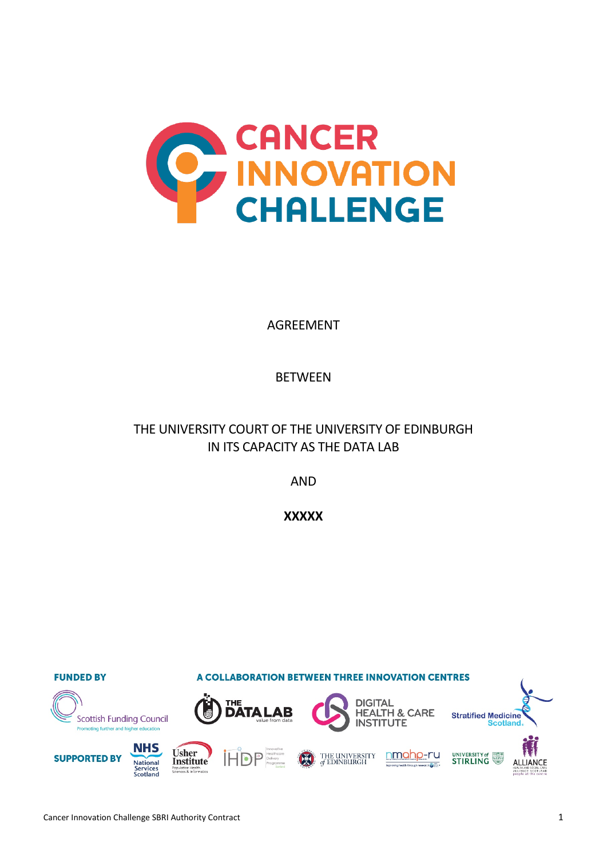

AGREEMENT

# BETWEEN

# THE UNIVERSITY COURT OF THE UNIVERSITY OF EDINBURGH IN ITS CAPACITY AS THE DATA LAB

AND

**XXXXX**

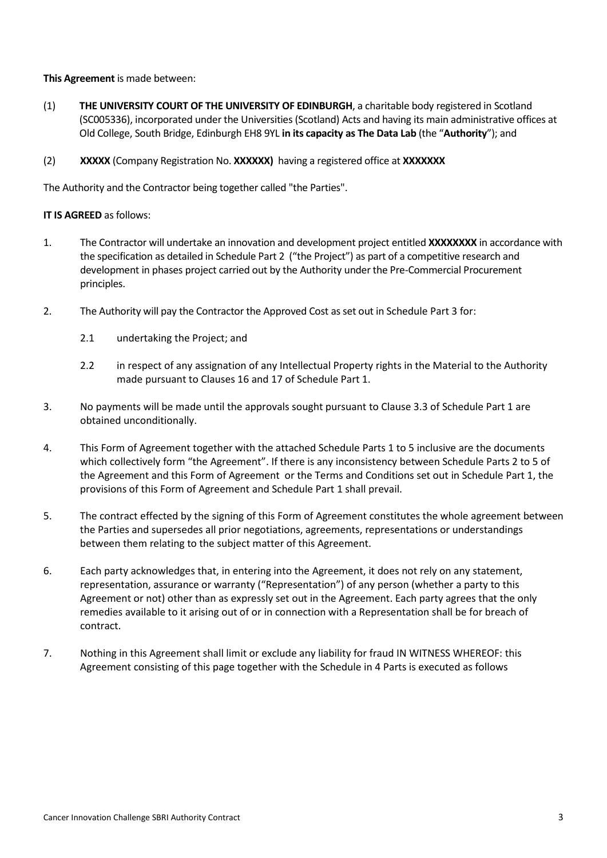**This Agreement** is made between:

- (1) **THE UNIVERSITY COURT OF THE UNIVERSITY OF EDINBURGH**, a charitable body registered in Scotland (SC005336), incorporated under the Universities (Scotland) Acts and having its main administrative offices at Old College, South Bridge, Edinburgh EH8 9YL **in its capacity as The Data Lab** (the "**Authority**"); and
- (2) **XXXXX** (Company Registration No. **XXXXXX)** having a registered office at **XXXXXXX**

The Authority and the Contractor being together called "the Parties".

## **IT IS AGREED** as follows:

- 1. The Contractor will undertake an innovation and development project entitled **XXXXXXXX** in accordance with the specification as detailed in Schedule Part 2 ("the Project") as part of a competitive research and development in phases project carried out by the Authority under the Pre-Commercial Procurement principles.
- 2. The Authority will pay the Contractor the Approved Cost as set out in Schedule Part 3 for:
	- 2.1 undertaking the Project; and
	- 2.2 in respect of any assignation of any Intellectual Property rights in the Material to the Authority made pursuant to Clauses 16 and 17 of Schedule Part 1.
- 3. No payments will be made until the approvals sought pursuant to Clause 3.3 of Schedule Part 1 are obtained unconditionally.
- 4. This Form of Agreement together with the attached Schedule Parts 1 to 5 inclusive are the documents which collectively form "the Agreement". If there is any inconsistency between Schedule Parts 2 to 5 of the Agreement and this Form of Agreement or the Terms and Conditions set out in Schedule Part 1, the provisions of this Form of Agreement and Schedule Part 1 shall prevail.
- 5. The contract effected by the signing of this Form of Agreement constitutes the whole agreement between the Parties and supersedes all prior negotiations, agreements, representations or understandings between them relating to the subject matter of this Agreement.
- 6. Each party acknowledges that, in entering into the Agreement, it does not rely on any statement, representation, assurance or warranty ("Representation") of any person (whether a party to this Agreement or not) other than as expressly set out in the Agreement. Each party agrees that the only remedies available to it arising out of or in connection with a Representation shall be for breach of contract.
- 7. Nothing in this Agreement shall limit or exclude any liability for fraud IN WITNESS WHEREOF: this Agreement consisting of this page together with the Schedule in 4 Parts is executed as follows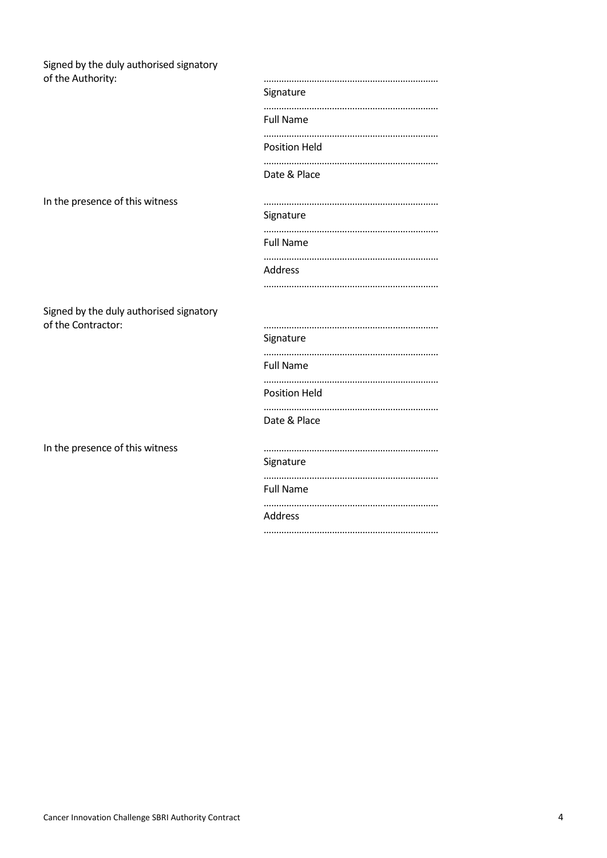| Signed by the duly authorised signatory                       |                      |  |  |
|---------------------------------------------------------------|----------------------|--|--|
| of the Authority:                                             | Signature            |  |  |
|                                                               | <b>Full Name</b>     |  |  |
|                                                               | <b>Position Held</b> |  |  |
|                                                               | Date & Place         |  |  |
| In the presence of this witness                               | Signature            |  |  |
|                                                               | <b>Full Name</b>     |  |  |
|                                                               | Address              |  |  |
| Signed by the duly authorised signatory<br>of the Contractor: |                      |  |  |
|                                                               | Signature            |  |  |
|                                                               | <b>Full Name</b>     |  |  |
|                                                               | <b>Position Held</b> |  |  |
|                                                               | Date & Place         |  |  |
| In the presence of this witness                               | Signature            |  |  |
|                                                               | <b>Full Name</b>     |  |  |
|                                                               | <b>Address</b>       |  |  |

……………………………………………………………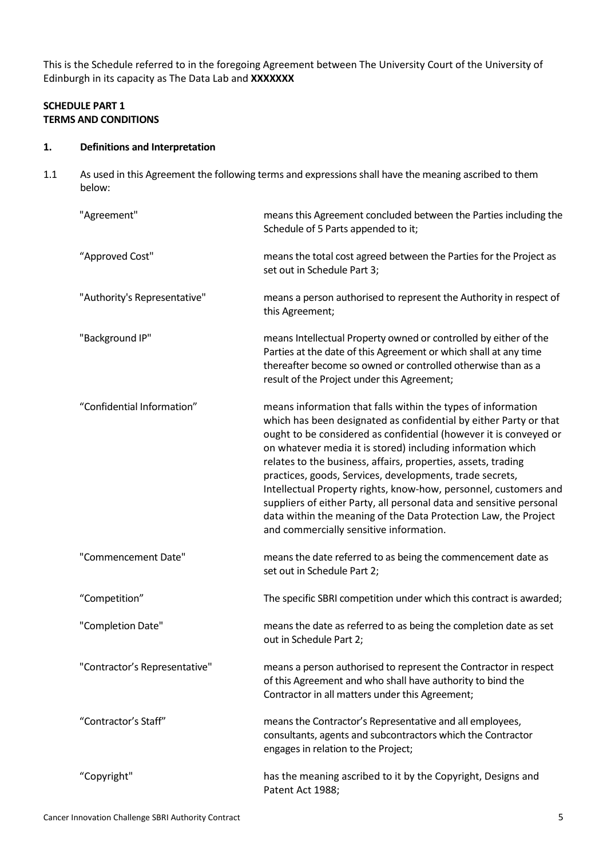This is the Schedule referred to in the foregoing Agreement between The University Court of the University of Edinburgh in its capacity as The Data Lab and **XXXXXXX**

## **SCHEDULE PART 1 TERMS AND CONDITIONS**

### **1. Definitions and Interpretation**

1.1 As used in this Agreement the following terms and expressions shall have the meaning ascribed to them below:

| "Agreement"                   | means this Agreement concluded between the Parties including the<br>Schedule of 5 Parts appended to it;                                                                                                                                                                                                                                                                                                                                                                                                                                                                                                                                                     |  |
|-------------------------------|-------------------------------------------------------------------------------------------------------------------------------------------------------------------------------------------------------------------------------------------------------------------------------------------------------------------------------------------------------------------------------------------------------------------------------------------------------------------------------------------------------------------------------------------------------------------------------------------------------------------------------------------------------------|--|
| "Approved Cost"               | means the total cost agreed between the Parties for the Project as<br>set out in Schedule Part 3;                                                                                                                                                                                                                                                                                                                                                                                                                                                                                                                                                           |  |
| "Authority's Representative"  | means a person authorised to represent the Authority in respect of<br>this Agreement;                                                                                                                                                                                                                                                                                                                                                                                                                                                                                                                                                                       |  |
| "Background IP"               | means Intellectual Property owned or controlled by either of the<br>Parties at the date of this Agreement or which shall at any time<br>thereafter become so owned or controlled otherwise than as a<br>result of the Project under this Agreement;                                                                                                                                                                                                                                                                                                                                                                                                         |  |
| "Confidential Information"    | means information that falls within the types of information<br>which has been designated as confidential by either Party or that<br>ought to be considered as confidential (however it is conveyed or<br>on whatever media it is stored) including information which<br>relates to the business, affairs, properties, assets, trading<br>practices, goods, Services, developments, trade secrets,<br>Intellectual Property rights, know-how, personnel, customers and<br>suppliers of either Party, all personal data and sensitive personal<br>data within the meaning of the Data Protection Law, the Project<br>and commercially sensitive information. |  |
| "Commencement Date"           | means the date referred to as being the commencement date as<br>set out in Schedule Part 2;                                                                                                                                                                                                                                                                                                                                                                                                                                                                                                                                                                 |  |
| "Competition"                 | The specific SBRI competition under which this contract is awarded;                                                                                                                                                                                                                                                                                                                                                                                                                                                                                                                                                                                         |  |
| "Completion Date"             | means the date as referred to as being the completion date as set<br>out in Schedule Part 2;                                                                                                                                                                                                                                                                                                                                                                                                                                                                                                                                                                |  |
| "Contractor's Representative" | means a person authorised to represent the Contractor in respect<br>of this Agreement and who shall have authority to bind the<br>Contractor in all matters under this Agreement;                                                                                                                                                                                                                                                                                                                                                                                                                                                                           |  |
| "Contractor's Staff"          | means the Contractor's Representative and all employees,<br>consultants, agents and subcontractors which the Contractor<br>engages in relation to the Project;                                                                                                                                                                                                                                                                                                                                                                                                                                                                                              |  |
| "Copyright"                   | has the meaning ascribed to it by the Copyright, Designs and<br>Patent Act 1988;                                                                                                                                                                                                                                                                                                                                                                                                                                                                                                                                                                            |  |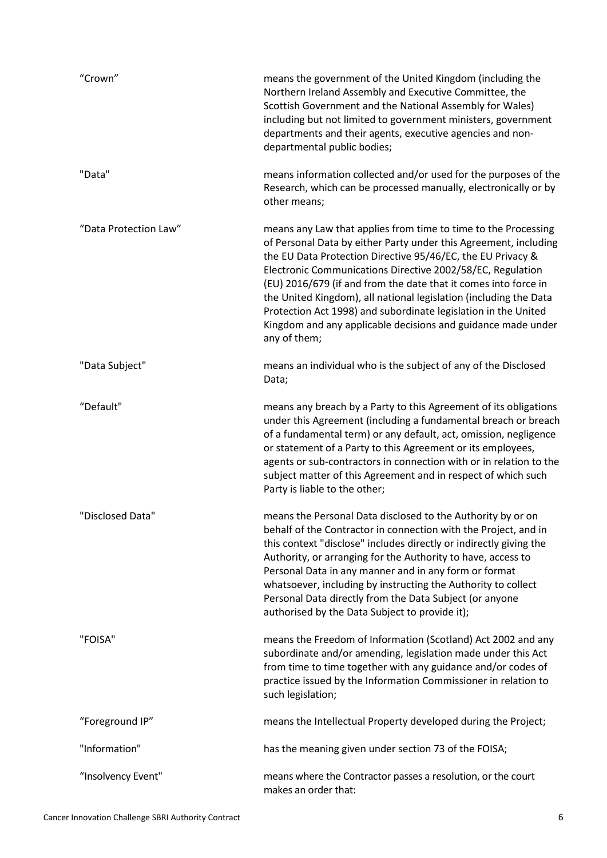| "Crown"               | means the government of the United Kingdom (including the<br>Northern Ireland Assembly and Executive Committee, the<br>Scottish Government and the National Assembly for Wales)<br>including but not limited to government ministers, government<br>departments and their agents, executive agencies and non-<br>departmental public bodies;                                                                                                                                                                                                              |
|-----------------------|-----------------------------------------------------------------------------------------------------------------------------------------------------------------------------------------------------------------------------------------------------------------------------------------------------------------------------------------------------------------------------------------------------------------------------------------------------------------------------------------------------------------------------------------------------------|
| "Data"                | means information collected and/or used for the purposes of the<br>Research, which can be processed manually, electronically or by<br>other means;                                                                                                                                                                                                                                                                                                                                                                                                        |
| "Data Protection Law" | means any Law that applies from time to time to the Processing<br>of Personal Data by either Party under this Agreement, including<br>the EU Data Protection Directive 95/46/EC, the EU Privacy &<br>Electronic Communications Directive 2002/58/EC, Regulation<br>(EU) 2016/679 (if and from the date that it comes into force in<br>the United Kingdom), all national legislation (including the Data<br>Protection Act 1998) and subordinate legislation in the United<br>Kingdom and any applicable decisions and guidance made under<br>any of them; |
| "Data Subject"        | means an individual who is the subject of any of the Disclosed<br>Data;                                                                                                                                                                                                                                                                                                                                                                                                                                                                                   |
| "Default"             | means any breach by a Party to this Agreement of its obligations<br>under this Agreement (including a fundamental breach or breach<br>of a fundamental term) or any default, act, omission, negligence<br>or statement of a Party to this Agreement or its employees,<br>agents or sub-contractors in connection with or in relation to the<br>subject matter of this Agreement and in respect of which such<br>Party is liable to the other;                                                                                                             |
| "Disclosed Data"      | means the Personal Data disclosed to the Authority by or on<br>behalf of the Contractor in connection with the Project, and in<br>this context "disclose" includes directly or indirectly giving the<br>Authority, or arranging for the Authority to have, access to<br>Personal Data in any manner and in any form or format<br>whatsoever, including by instructing the Authority to collect<br>Personal Data directly from the Data Subject (or anyone<br>authorised by the Data Subject to provide it);                                               |
| "FOISA"               | means the Freedom of Information (Scotland) Act 2002 and any<br>subordinate and/or amending, legislation made under this Act<br>from time to time together with any guidance and/or codes of<br>practice issued by the Information Commissioner in relation to<br>such legislation;                                                                                                                                                                                                                                                                       |
| "Foreground IP"       | means the Intellectual Property developed during the Project;                                                                                                                                                                                                                                                                                                                                                                                                                                                                                             |
| "Information"         | has the meaning given under section 73 of the FOISA;                                                                                                                                                                                                                                                                                                                                                                                                                                                                                                      |
| "Insolvency Event"    | means where the Contractor passes a resolution, or the court<br>makes an order that:                                                                                                                                                                                                                                                                                                                                                                                                                                                                      |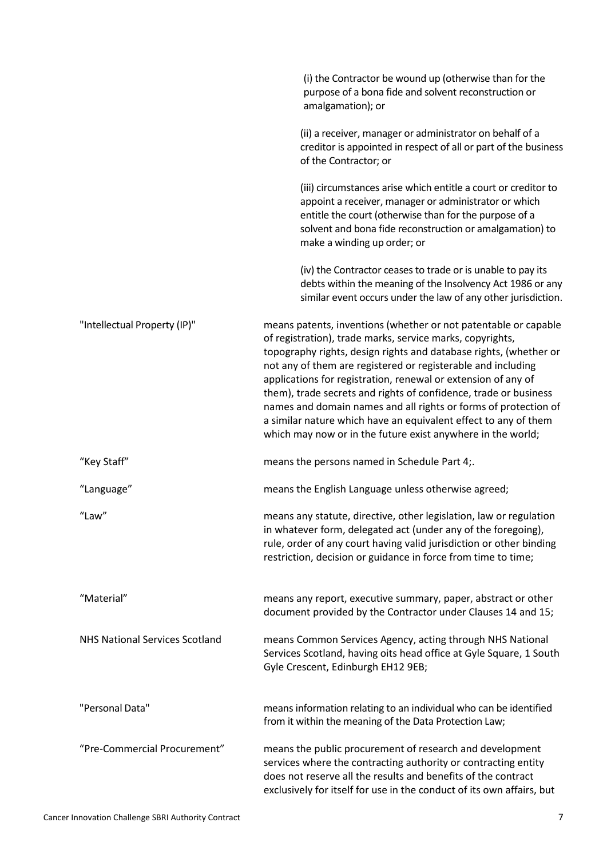|                                       | (i) the Contractor be wound up (otherwise than for the<br>purpose of a bona fide and solvent reconstruction or<br>amalgamation); or                                                                                                                                                                                                                                                                                                                                                                                                                                                                         |
|---------------------------------------|-------------------------------------------------------------------------------------------------------------------------------------------------------------------------------------------------------------------------------------------------------------------------------------------------------------------------------------------------------------------------------------------------------------------------------------------------------------------------------------------------------------------------------------------------------------------------------------------------------------|
|                                       | (ii) a receiver, manager or administrator on behalf of a<br>creditor is appointed in respect of all or part of the business<br>of the Contractor; or                                                                                                                                                                                                                                                                                                                                                                                                                                                        |
|                                       | (iii) circumstances arise which entitle a court or creditor to<br>appoint a receiver, manager or administrator or which<br>entitle the court (otherwise than for the purpose of a<br>solvent and bona fide reconstruction or amalgamation) to<br>make a winding up order; or                                                                                                                                                                                                                                                                                                                                |
|                                       | (iv) the Contractor ceases to trade or is unable to pay its<br>debts within the meaning of the Insolvency Act 1986 or any<br>similar event occurs under the law of any other jurisdiction.                                                                                                                                                                                                                                                                                                                                                                                                                  |
| "Intellectual Property (IP)"          | means patents, inventions (whether or not patentable or capable<br>of registration), trade marks, service marks, copyrights,<br>topography rights, design rights and database rights, (whether or<br>not any of them are registered or registerable and including<br>applications for registration, renewal or extension of any of<br>them), trade secrets and rights of confidence, trade or business<br>names and domain names and all rights or forms of protection of<br>a similar nature which have an equivalent effect to any of them<br>which may now or in the future exist anywhere in the world; |
| "Key Staff"                           | means the persons named in Schedule Part 4;.                                                                                                                                                                                                                                                                                                                                                                                                                                                                                                                                                                |
| "Language"                            | means the English Language unless otherwise agreed;                                                                                                                                                                                                                                                                                                                                                                                                                                                                                                                                                         |
| "Law"                                 | means any statute, directive, other legislation, law or regulation<br>in whatever form, delegated act (under any of the foregoing),<br>rule, order of any court having valid jurisdiction or other binding<br>restriction, decision or guidance in force from time to time;                                                                                                                                                                                                                                                                                                                                 |
| "Material"                            | means any report, executive summary, paper, abstract or other<br>document provided by the Contractor under Clauses 14 and 15;                                                                                                                                                                                                                                                                                                                                                                                                                                                                               |
| <b>NHS National Services Scotland</b> | means Common Services Agency, acting through NHS National<br>Services Scotland, having oits head office at Gyle Square, 1 South<br>Gyle Crescent, Edinburgh EH12 9EB;                                                                                                                                                                                                                                                                                                                                                                                                                                       |
| "Personal Data"                       | means information relating to an individual who can be identified<br>from it within the meaning of the Data Protection Law;                                                                                                                                                                                                                                                                                                                                                                                                                                                                                 |
| "Pre-Commercial Procurement"          | means the public procurement of research and development<br>services where the contracting authority or contracting entity<br>does not reserve all the results and benefits of the contract<br>exclusively for itself for use in the conduct of its own affairs, but                                                                                                                                                                                                                                                                                                                                        |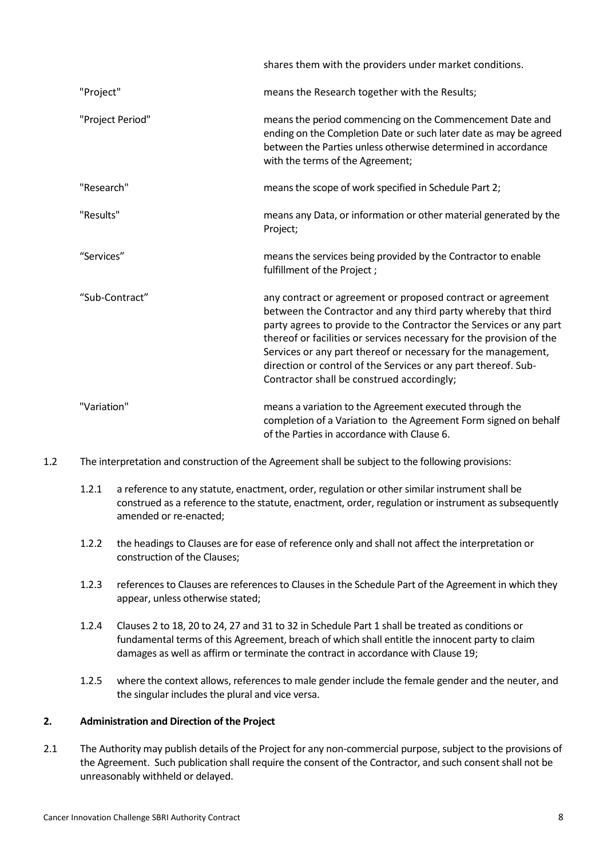|                  | shares them with the providers under market conditions.                                                                                                                                                                                                                                                                                                                                                                                                     |  |  |
|------------------|-------------------------------------------------------------------------------------------------------------------------------------------------------------------------------------------------------------------------------------------------------------------------------------------------------------------------------------------------------------------------------------------------------------------------------------------------------------|--|--|
| "Project"        | means the Research together with the Results;                                                                                                                                                                                                                                                                                                                                                                                                               |  |  |
| "Project Period" | means the period commencing on the Commencement Date and<br>ending on the Completion Date or such later date as may be agreed<br>between the Parties unless otherwise determined in accordance<br>with the terms of the Agreement;                                                                                                                                                                                                                          |  |  |
| "Research"       | means the scope of work specified in Schedule Part 2;                                                                                                                                                                                                                                                                                                                                                                                                       |  |  |
| "Results"        | means any Data, or information or other material generated by the<br>Project;                                                                                                                                                                                                                                                                                                                                                                               |  |  |
| "Services"       | means the services being provided by the Contractor to enable<br>fulfillment of the Project;                                                                                                                                                                                                                                                                                                                                                                |  |  |
| "Sub-Contract"   | any contract or agreement or proposed contract or agreement<br>between the Contractor and any third party whereby that third<br>party agrees to provide to the Contractor the Services or any part<br>thereof or facilities or services necessary for the provision of the<br>Services or any part thereof or necessary for the management,<br>direction or control of the Services or any part thereof. Sub-<br>Contractor shall be construed accordingly; |  |  |
| "Variation"      | means a variation to the Agreement executed through the<br>completion of a Variation to the Agreement Form signed on behalf<br>of the Parties in accordance with Clause 6.                                                                                                                                                                                                                                                                                  |  |  |

- 1.2 The interpretation and construction of the Agreement shall be subject to the following provisions:
	- 1.2.1 a reference to any statute, enactment, order, regulation or other similar instrument shall be construed as a reference to the statute, enactment, order, regulation or instrument as subsequently amended or re-enacted;
	- 1.2.2 the headings to Clauses are for ease of reference only and shall not affect the interpretation or construction of the Clauses;
	- 1.2.3 references to Clauses are references to Clauses in the Schedule Part of the Agreement in which they appear, unless otherwise stated;
	- 1.2.4 Clauses 2 to 18, 20 to 24, 27 and 31 to 32 in Schedule Part 1 shall be treated as conditions or fundamental terms of this Agreement, breach of which shall entitle the innocent party to claim damages as well as affirm or terminate the contract in accordance with Clause 19;
	- 1.2.5 where the context allows, references to male gender include the female gender and the neuter, and the singular includes the plural and vice versa.

#### **2. Administration and Direction of the Project**

2.1 The Authority may publish details of the Project for any non-commercial purpose, subject to the provisions of the Agreement. Such publication shall require the consent of the Contractor, and such consent shall not be unreasonably withheld or delayed.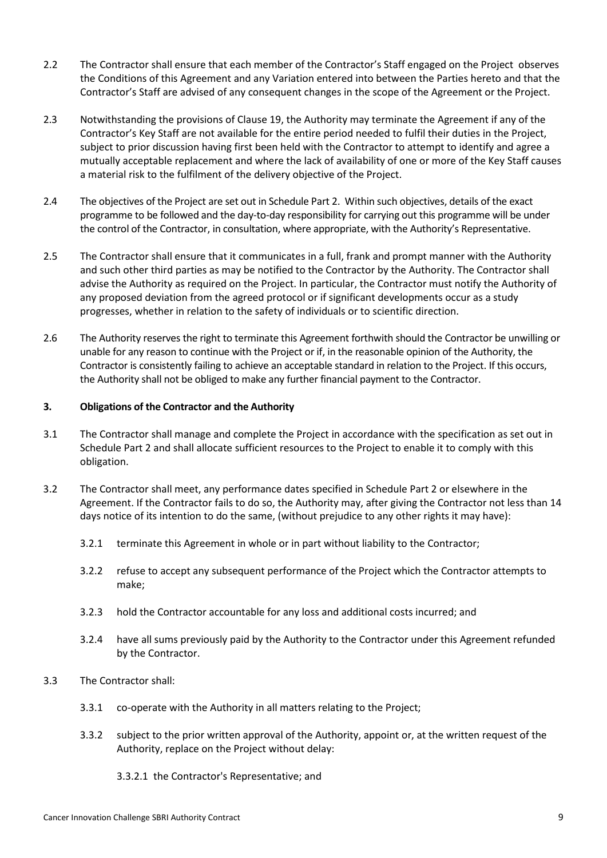- 2.2 The Contractor shall ensure that each member of the Contractor's Staff engaged on the Project observes the Conditions of this Agreement and any Variation entered into between the Parties hereto and that the Contractor's Staff are advised of any consequent changes in the scope of the Agreement or the Project.
- 2.3 Notwithstanding the provisions of Clause 19, the Authority may terminate the Agreement if any of the Contractor's Key Staff are not available for the entire period needed to fulfil their duties in the Project, subject to prior discussion having first been held with the Contractor to attempt to identify and agree a mutually acceptable replacement and where the lack of availability of one or more of the Key Staff causes a material risk to the fulfilment of the delivery objective of the Project.
- 2.4 The objectives of the Project are set out in Schedule Part 2. Within such objectives, details of the exact programme to be followed and the day-to-day responsibility for carrying out this programme will be under the control of the Contractor, in consultation, where appropriate, with the Authority's Representative.
- 2.5 The Contractor shall ensure that it communicates in a full, frank and prompt manner with the Authority and such other third parties as may be notified to the Contractor by the Authority. The Contractor shall advise the Authority as required on the Project. In particular, the Contractor must notify the Authority of any proposed deviation from the agreed protocol or if significant developments occur as a study progresses, whether in relation to the safety of individuals or to scientific direction.
- 2.6 The Authority reserves the right to terminate this Agreement forthwith should the Contractor be unwilling or unable for any reason to continue with the Project or if, in the reasonable opinion of the Authority, the Contractor is consistently failing to achieve an acceptable standard in relation to the Project. If this occurs, the Authority shall not be obliged to make any further financial payment to the Contractor.

## **3. Obligations of the Contractor and the Authority**

- 3.1 The Contractor shall manage and complete the Project in accordance with the specification as set out in Schedule Part 2 and shall allocate sufficient resources to the Project to enable it to comply with this obligation.
- 3.2 The Contractor shall meet, any performance dates specified in Schedule Part 2 or elsewhere in the Agreement. If the Contractor fails to do so, the Authority may, after giving the Contractor not less than 14 days notice of its intention to do the same, (without prejudice to any other rights it may have):
	- 3.2.1 terminate this Agreement in whole or in part without liability to the Contractor;
	- 3.2.2 refuse to accept any subsequent performance of the Project which the Contractor attempts to make;
	- 3.2.3 hold the Contractor accountable for any loss and additional costs incurred; and
	- 3.2.4 have all sums previously paid by the Authority to the Contractor under this Agreement refunded by the Contractor.
- 3.3 The Contractor shall:
	- 3.3.1 co-operate with the Authority in all matters relating to the Project;
	- 3.3.2 subject to the prior written approval of the Authority, appoint or, at the written request of the Authority, replace on the Project without delay:
		- 3.3.2.1 the Contractor's Representative; and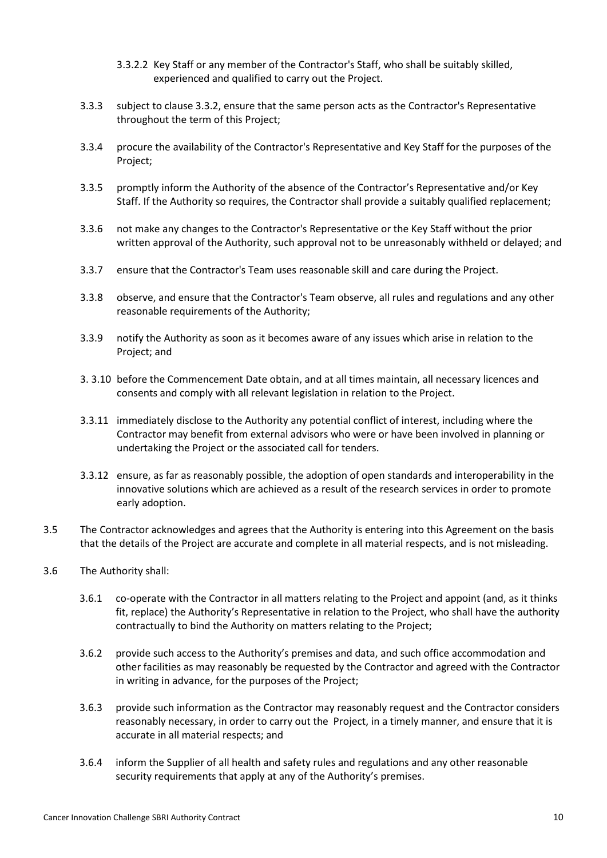- 3.3.2.2 Key Staff or any member of the Contractor's Staff, who shall be suitably skilled, experienced and qualified to carry out the Project.
- 3.3.3 subject to clause 3.3.2, ensure that the same person acts as the Contractor's Representative throughout the term of this Project;
- 3.3.4 procure the availability of the Contractor's Representative and Key Staff for the purposes of the Project;
- 3.3.5 promptly inform the Authority of the absence of the Contractor's Representative and/or Key Staff. If the Authority so requires, the Contractor shall provide a suitably qualified replacement;
- 3.3.6 not make any changes to the Contractor's Representative or the Key Staff without the prior written approval of the Authority, such approval not to be unreasonably withheld or delayed; and
- 3.3.7 ensure that the Contractor's Team uses reasonable skill and care during the Project.
- 3.3.8 observe, and ensure that the Contractor's Team observe, all rules and regulations and any other reasonable requirements of the Authority;
- 3.3.9 notify the Authority as soon as it becomes aware of any issues which arise in relation to the Project; and
- 3. 3.10 before the Commencement Date obtain, and at all times maintain, all necessary licences and consents and comply with all relevant legislation in relation to the Project.
- 3.3.11 immediately disclose to the Authority any potential conflict of interest, including where the Contractor may benefit from external advisors who were or have been involved in planning or undertaking the Project or the associated call for tenders.
- 3.3.12 ensure, as far as reasonably possible, the adoption of open standards and interoperability in the innovative solutions which are achieved as a result of the research services in order to promote early adoption.
- 3.5 The Contractor acknowledges and agrees that the Authority is entering into this Agreement on the basis that the details of the Project are accurate and complete in all material respects, and is not misleading.
- 3.6 The Authority shall:
	- 3.6.1 co-operate with the Contractor in all matters relating to the Project and appoint (and, as it thinks fit, replace) the Authority's Representative in relation to the Project, who shall have the authority contractually to bind the Authority on matters relating to the Project;
	- 3.6.2 provide such access to the Authority's premises and data, and such office accommodation and other facilities as may reasonably be requested by the Contractor and agreed with the Contractor in writing in advance, for the purposes of the Project;
	- 3.6.3 provide such information as the Contractor may reasonably request and the Contractor considers reasonably necessary, in order to carry out the Project, in a timely manner, and ensure that it is accurate in all material respects; and
	- 3.6.4 inform the Supplier of all health and safety rules and regulations and any other reasonable security requirements that apply at any of the Authority's premises.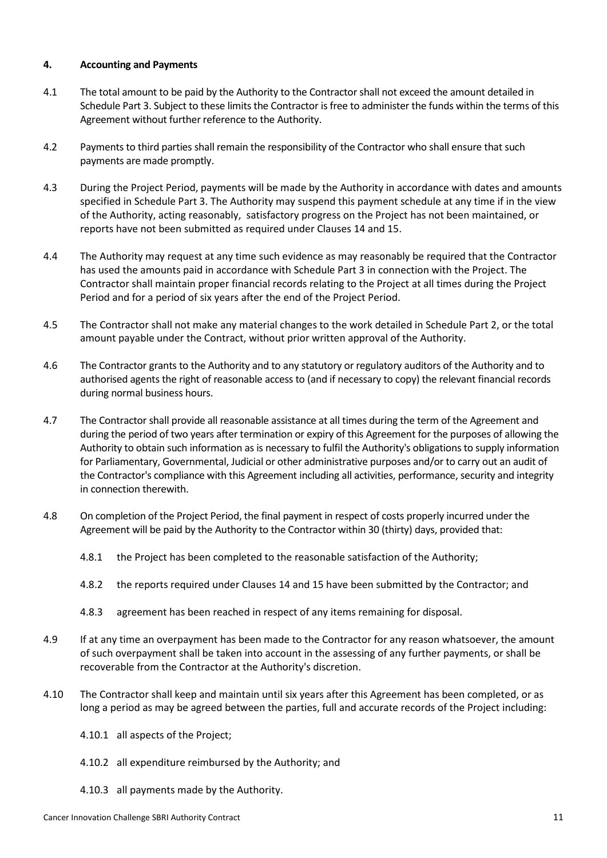### **4. Accounting and Payments**

- 4.1 The total amount to be paid by the Authority to the Contractor shall not exceed the amount detailed in Schedule Part 3. Subject to these limits the Contractor is free to administer the funds within the terms of this Agreement without further reference to the Authority.
- 4.2 Payments to third parties shall remain the responsibility of the Contractor who shall ensure that such payments are made promptly.
- 4.3 During the Project Period, payments will be made by the Authority in accordance with dates and amounts specified in Schedule Part 3. The Authority may suspend this payment schedule at any time if in the view of the Authority, acting reasonably, satisfactory progress on the Project has not been maintained, or reports have not been submitted as required under Clauses 14 and 15.
- 4.4 The Authority may request at any time such evidence as may reasonably be required that the Contractor has used the amounts paid in accordance with Schedule Part 3 in connection with the Project. The Contractor shall maintain proper financial records relating to the Project at all times during the Project Period and for a period of six years after the end of the Project Period.
- 4.5 The Contractor shall not make any material changes to the work detailed in Schedule Part 2, or the total amount payable under the Contract, without prior written approval of the Authority.
- 4.6 The Contractor grants to the Authority and to any statutory or regulatory auditors of the Authority and to authorised agents the right of reasonable access to (and if necessary to copy) the relevant financial records during normal business hours.
- 4.7 The Contractor shall provide all reasonable assistance at all times during the term of the Agreement and during the period of two years after termination or expiry of this Agreement for the purposes of allowing the Authority to obtain such information as is necessary to fulfil the Authority's obligations to supply information for Parliamentary, Governmental, Judicial or other administrative purposes and/or to carry out an audit of the Contractor's compliance with this Agreement including all activities, performance, security and integrity in connection therewith.
- 4.8 On completion of the Project Period, the final payment in respect of costs properly incurred under the Agreement will be paid by the Authority to the Contractor within 30 (thirty) days, provided that:
	- 4.8.1 the Project has been completed to the reasonable satisfaction of the Authority;
	- 4.8.2 the reports required under Clauses 14 and 15 have been submitted by the Contractor; and
	- 4.8.3 agreement has been reached in respect of any items remaining for disposal.
- 4.9 If at any time an overpayment has been made to the Contractor for any reason whatsoever, the amount of such overpayment shall be taken into account in the assessing of any further payments, or shall be recoverable from the Contractor at the Authority's discretion.
- 4.10 The Contractor shall keep and maintain until six years after this Agreement has been completed, or as long a period as may be agreed between the parties, full and accurate records of the Project including:
	- 4.10.1 all aspects of the Project;
	- 4.10.2 all expenditure reimbursed by the Authority; and
	- 4.10.3 all payments made by the Authority.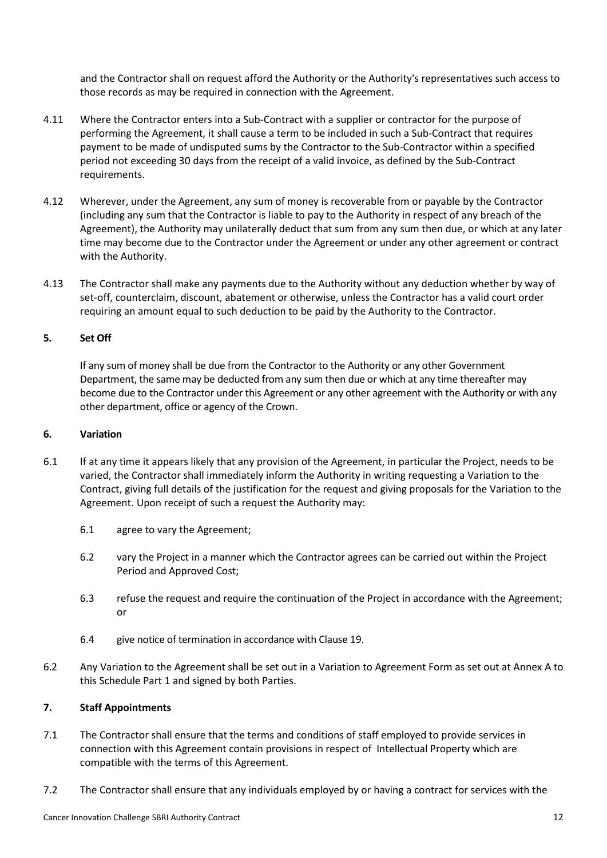and the Contractor shall on request afford the Authority or the Authority's representatives such access to those records as may be required in connection with the Agreement.

- 4.11 Where the Contractor enters into a Sub-Contract with a supplier or contractor for the purpose of performing the Agreement, it shall cause a term to be included in such a Sub-Contract that requires payment to be made of undisputed sums by the Contractor to the Sub-Contractor within a specified period not exceeding 30 days from the receipt of a valid invoice, as defined by the Sub-Contract requirements.
- 4.12 Wherever, under the Agreement, any sum of money is recoverable from or payable by the Contractor (including any sum that the Contractor is liable to pay to the Authority in respect of any breach of the Agreement), the Authority may unilaterally deduct that sum from any sum then due, or which at any later time may become due to the Contractor under the Agreement or under any other agreement or contract with the Authority.
- 4.13 The Contractor shall make any payments due to the Authority without any deduction whether by way of set-off, counterclaim, discount, abatement or otherwise, unless the Contractor has a valid court order requiring an amount equal to such deduction to be paid by the Authority to the Contractor.

## **5. Set Off**

If any sum of money shall be due from the Contractor to the Authority or any other Government Department, the same may be deducted from any sum then due or which at any time thereafter may become due to the Contractor under this Agreement or any other agreement with the Authority or with any other department, office or agency of the Crown.

#### **6. Variation**

- 6.1 If at any time it appears likely that any provision of the Agreement, in particular the Project, needs to be varied, the Contractor shall immediately inform the Authority in writing requesting a Variation to the Contract, giving full details of the justification for the request and giving proposals for the Variation to the Agreement. Upon receipt of such a request the Authority may:
	- 6.1 agree to vary the Agreement;
	- 6.2 vary the Project in a manner which the Contractor agrees can be carried out within the Project Period and Approved Cost;
	- 6.3 refuse the request and require the continuation of the Project in accordance with the Agreement; or
	- 6.4 give notice of termination in accordance with Clause 19.
- 6.2 Any Variation to the Agreement shall be set out in a Variation to Agreement Form as set out at Annex A to this Schedule Part 1 and signed by both Parties.

## **7. Staff Appointments**

- 7.1 The Contractor shall ensure that the terms and conditions of staff employed to provide services in connection with this Agreement contain provisions in respect of Intellectual Property which are compatible with the terms of this Agreement.
- 7.2 The Contractor shall ensure that any individuals employed by or having a contract for services with the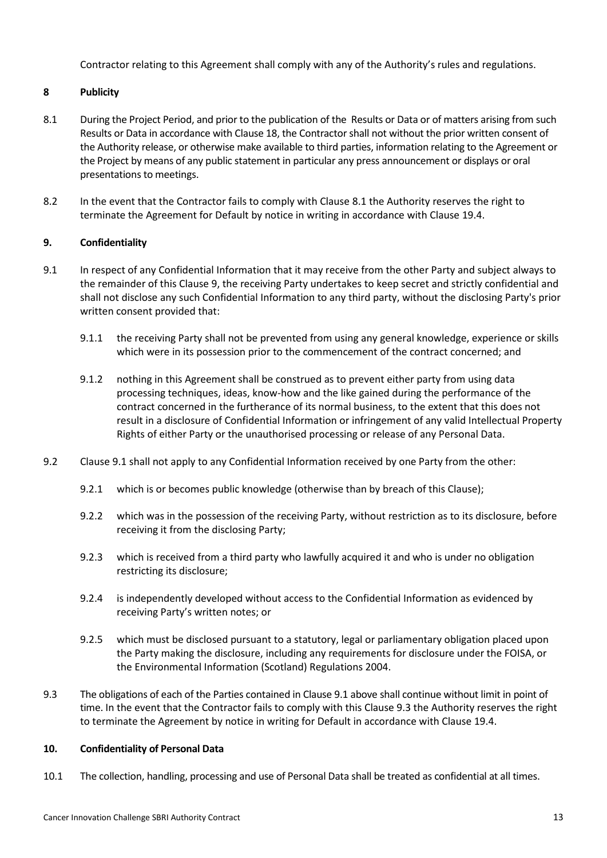Contractor relating to this Agreement shall comply with any of the Authority's rules and regulations.

## **8 Publicity**

- 8.1 During the Project Period, and prior to the publication of the Results or Data or of matters arising from such Results or Data in accordance with Clause 18, the Contractor shall not without the prior written consent of the Authority release, or otherwise make available to third parties, information relating to the Agreement or the Project by means of any public statement in particular any press announcement or displays or oral presentations to meetings.
- 8.2 In the event that the Contractor fails to comply with Clause 8.1 the Authority reserves the right to terminate the Agreement for Default by notice in writing in accordance with Clause 19.4.

## **9. Confidentiality**

- 9.1 In respect of any Confidential Information that it may receive from the other Party and subject always to the remainder of this Clause 9, the receiving Party undertakes to keep secret and strictly confidential and shall not disclose any such Confidential Information to any third party, without the disclosing Party's prior written consent provided that:
	- 9.1.1 the receiving Party shall not be prevented from using any general knowledge, experience or skills which were in its possession prior to the commencement of the contract concerned; and
	- 9.1.2 nothing in this Agreement shall be construed as to prevent either party from using data processing techniques, ideas, know-how and the like gained during the performance of the contract concerned in the furtherance of its normal business, to the extent that this does not result in a disclosure of Confidential Information or infringement of any valid Intellectual Property Rights of either Party or the unauthorised processing or release of any Personal Data.
- 9.2 Clause 9.1 shall not apply to any Confidential Information received by one Party from the other:
	- 9.2.1 which is or becomes public knowledge (otherwise than by breach of this Clause);
	- 9.2.2 which was in the possession of the receiving Party, without restriction as to its disclosure, before receiving it from the disclosing Party;
	- 9.2.3 which is received from a third party who lawfully acquired it and who is under no obligation restricting its disclosure;
	- 9.2.4 is independently developed without access to the Confidential Information as evidenced by receiving Party's written notes; or
	- 9.2.5 which must be disclosed pursuant to a statutory, legal or parliamentary obligation placed upon the Party making the disclosure, including any requirements for disclosure under the FOISA, or the Environmental Information (Scotland) Regulations 2004.
- 9.3 The obligations of each of the Parties contained in Clause 9.1 above shall continue without limit in point of time. In the event that the Contractor fails to comply with this Clause 9.3 the Authority reserves the right to terminate the Agreement by notice in writing for Default in accordance with Clause 19.4.

#### **10. Confidentiality of Personal Data**

10.1 The collection, handling, processing and use of Personal Data shall be treated as confidential at all times.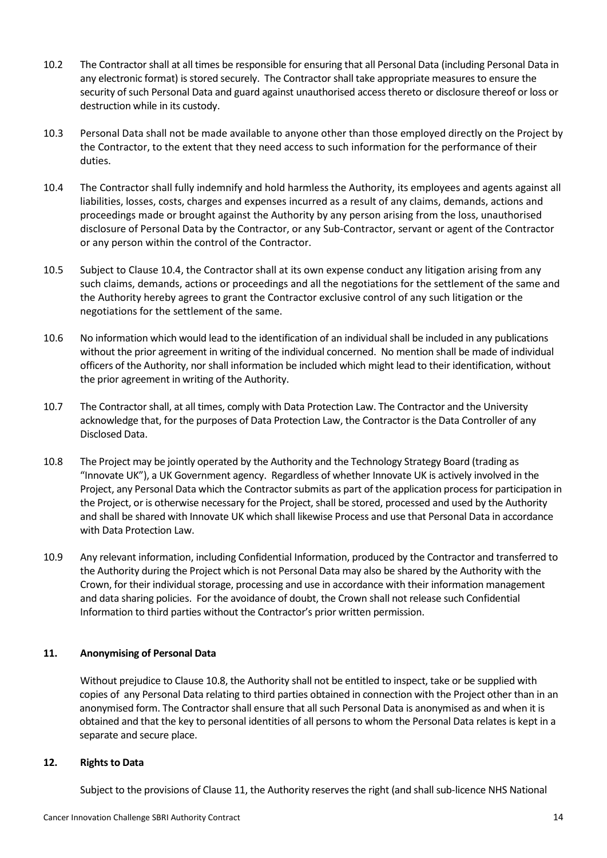- 10.2 The Contractor shall at all times be responsible for ensuring that all Personal Data (including Personal Data in any electronic format) is stored securely. The Contractor shall take appropriate measures to ensure the security of such Personal Data and guard against unauthorised access thereto or disclosure thereof or loss or destruction while in its custody.
- 10.3 Personal Data shall not be made available to anyone other than those employed directly on the Project by the Contractor, to the extent that they need access to such information for the performance of their duties.
- 10.4 The Contractor shall fully indemnify and hold harmless the Authority, its employees and agents against all liabilities, losses, costs, charges and expenses incurred as a result of any claims, demands, actions and proceedings made or brought against the Authority by any person arising from the loss, unauthorised disclosure of Personal Data by the Contractor, or any Sub-Contractor, servant or agent of the Contractor or any person within the control of the Contractor.
- 10.5 Subject to Clause 10.4, the Contractor shall at its own expense conduct any litigation arising from any such claims, demands, actions or proceedings and all the negotiations for the settlement of the same and the Authority hereby agrees to grant the Contractor exclusive control of any such litigation or the negotiations for the settlement of the same.
- 10.6 No information which would lead to the identification of an individual shall be included in any publications without the prior agreement in writing of the individual concerned. No mention shall be made of individual officers of the Authority, nor shall information be included which might lead to their identification, without the prior agreement in writing of the Authority.
- 10.7 The Contractor shall, at all times, comply with Data Protection Law. The Contractor and the University acknowledge that, for the purposes of Data Protection Law, the Contractor is the Data Controller of any Disclosed Data.
- 10.8 The Project may be jointly operated by the Authority and the Technology Strategy Board (trading as "Innovate UK"), a UK Government agency. Regardless of whether Innovate UK is actively involved in the Project, any Personal Data which the Contractor submits as part of the application process for participation in the Project, or is otherwise necessary for the Project, shall be stored, processed and used by the Authority and shall be shared with Innovate UK which shall likewise Process and use that Personal Data in accordance with Data Protection Law.
- 10.9 Any relevant information, including Confidential Information, produced by the Contractor and transferred to the Authority during the Project which is not Personal Data may also be shared by the Authority with the Crown, for their individual storage, processing and use in accordance with their information management and data sharing policies. For the avoidance of doubt, the Crown shall not release such Confidential Information to third parties without the Contractor's prior written permission.

## **11. Anonymising of Personal Data**

Without prejudice to Clause 10.8, the Authority shall not be entitled to inspect, take or be supplied with copies of any Personal Data relating to third parties obtained in connection with the Project other than in an anonymised form. The Contractor shall ensure that all such Personal Data is anonymised as and when it is obtained and that the key to personal identities of all persons to whom the Personal Data relates is kept in a separate and secure place.

#### **12. Rights to Data**

Subject to the provisions of Clause 11, the Authority reserves the right (and shall sub-licence NHS National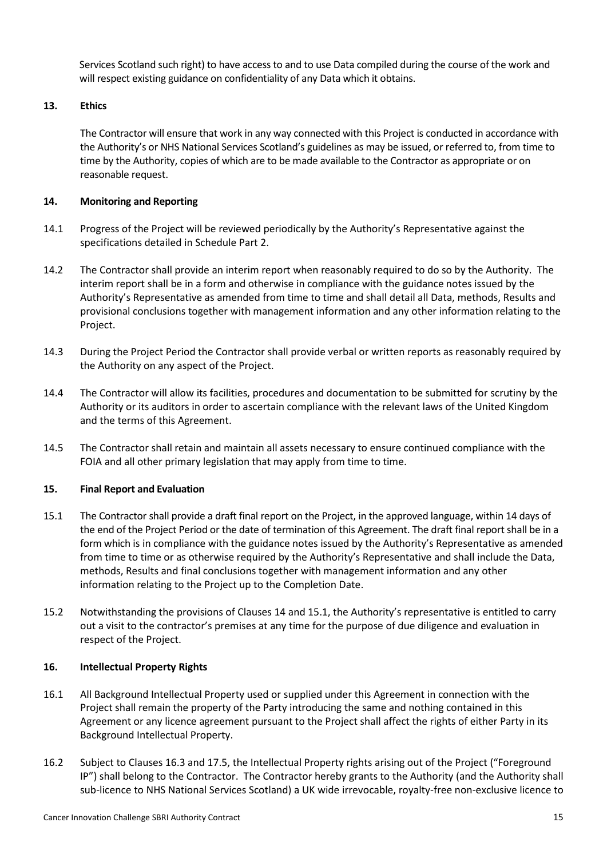Services Scotland such right) to have access to and to use Data compiled during the course of the work and will respect existing guidance on confidentiality of any Data which it obtains.

## **13. Ethics**

The Contractor will ensure that work in any way connected with this Project is conducted in accordance with the Authority's or NHS National Services Scotland's guidelines as may be issued, or referred to, from time to time by the Authority, copies of which are to be made available to the Contractor as appropriate or on reasonable request.

## **14. Monitoring and Reporting**

- 14.1 Progress of the Project will be reviewed periodically by the Authority's Representative against the specifications detailed in Schedule Part 2.
- 14.2 The Contractor shall provide an interim report when reasonably required to do so by the Authority. The interim report shall be in a form and otherwise in compliance with the guidance notes issued by the Authority's Representative as amended from time to time and shall detail all Data, methods, Results and provisional conclusions together with management information and any other information relating to the Project.
- 14.3 During the Project Period the Contractor shall provide verbal or written reports as reasonably required by the Authority on any aspect of the Project.
- 14.4 The Contractor will allow its facilities, procedures and documentation to be submitted for scrutiny by the Authority or its auditors in order to ascertain compliance with the relevant laws of the United Kingdom and the terms of this Agreement.
- 14.5 The Contractor shall retain and maintain all assets necessary to ensure continued compliance with the FOIA and all other primary legislation that may apply from time to time.

#### **15. Final Report and Evaluation**

- 15.1 The Contractor shall provide a draft final report on the Project, in the approved language, within 14 days of the end of the Project Period or the date of termination of this Agreement. The draft final report shall be in a form which is in compliance with the guidance notes issued by the Authority's Representative as amended from time to time or as otherwise required by the Authority's Representative and shall include the Data, methods, Results and final conclusions together with management information and any other information relating to the Project up to the Completion Date.
- 15.2 Notwithstanding the provisions of Clauses 14 and 15.1, the Authority's representative is entitled to carry out a visit to the contractor's premises at any time for the purpose of due diligence and evaluation in respect of the Project.

#### **16. Intellectual Property Rights**

- 16.1 All Background Intellectual Property used or supplied under this Agreement in connection with the Project shall remain the property of the Party introducing the same and nothing contained in this Agreement or any licence agreement pursuant to the Project shall affect the rights of either Party in its Background Intellectual Property.
- 16.2 Subject to Clauses 16.3 and 17.5, the Intellectual Property rights arising out of the Project ("Foreground IP") shall belong to the Contractor. The Contractor hereby grants to the Authority (and the Authority shall sub-licence to NHS National Services Scotland) a UK wide irrevocable, royalty-free non-exclusive licence to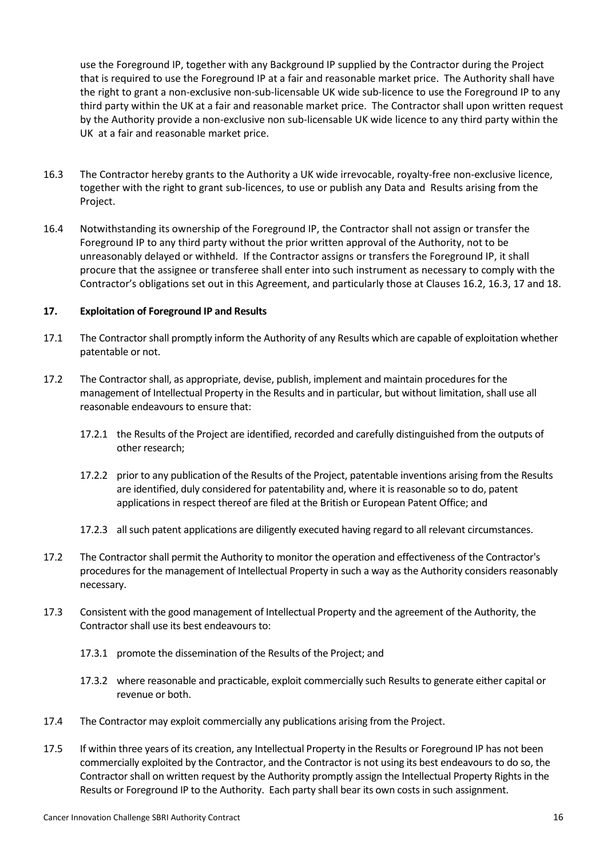use the Foreground IP, together with any Background IP supplied by the Contractor during the Project that is required to use the Foreground IP at a fair and reasonable market price. The Authority shall have the right to grant a non-exclusive non-sub-licensable UK wide sub-licence to use the Foreground IP to any third party within the UK at a fair and reasonable market price. The Contractor shall upon written request by the Authority provide a non-exclusive non sub-licensable UK wide licence to any third party within the UK at a fair and reasonable market price.

- 16.3 The Contractor hereby grants to the Authority a UK wide irrevocable, royalty-free non-exclusive licence, together with the right to grant sub-licences, to use or publish any Data and Results arising from the Project.
- 16.4 Notwithstanding its ownership of the Foreground IP, the Contractor shall not assign or transfer the Foreground IP to any third party without the prior written approval of the Authority, not to be unreasonably delayed or withheld. If the Contractor assigns or transfers the Foreground IP, it shall procure that the assignee or transferee shall enter into such instrument as necessary to comply with the Contractor's obligations set out in this Agreement, and particularly those at Clauses 16.2, 16.3, 17 and 18.

## **17. Exploitation of Foreground IP and Results**

- 17.1 The Contractor shall promptly inform the Authority of any Results which are capable of exploitation whether patentable or not.
- 17.2 The Contractor shall, as appropriate, devise, publish, implement and maintain procedures for the management of Intellectual Property in the Results and in particular, but without limitation, shall use all reasonable endeavours to ensure that:
	- 17.2.1 the Results of the Project are identified, recorded and carefully distinguished from the outputs of other research;
	- 17.2.2 prior to any publication of the Results of the Project, patentable inventions arising from the Results are identified, duly considered for patentability and, where it is reasonable so to do, patent applications in respect thereof are filed at the British or European Patent Office; and
	- 17.2.3 all such patent applications are diligently executed having regard to all relevant circumstances.
- 17.2 The Contractor shall permit the Authority to monitor the operation and effectiveness of the Contractor's procedures for the management of Intellectual Property in such a way as the Authority considers reasonably necessary.
- 17.3 Consistent with the good management of Intellectual Property and the agreement of the Authority, the Contractor shall use its best endeavours to:
	- 17.3.1 promote the dissemination of the Results of the Project; and
	- 17.3.2 where reasonable and practicable, exploit commercially such Results to generate either capital or revenue or both.
- 17.4 The Contractor may exploit commercially any publications arising from the Project.
- 17.5 If within three years of its creation, any Intellectual Property in the Results or Foreground IP has not been commercially exploited by the Contractor, and the Contractor is not using its best endeavours to do so, the Contractor shall on written request by the Authority promptly assign the Intellectual Property Rights in the Results or Foreground IP to the Authority. Each party shall bear its own costs in such assignment.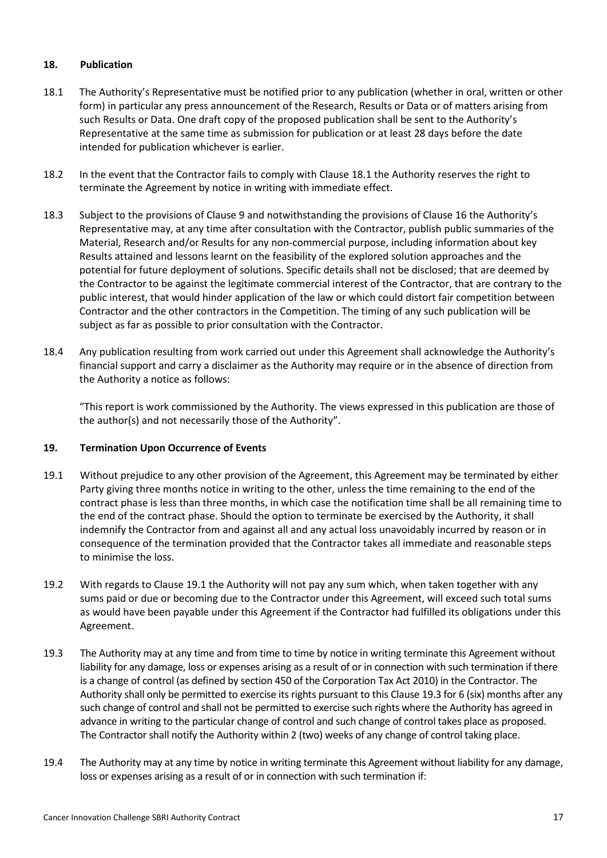## **18. Publication**

- 18.1 The Authority's Representative must be notified prior to any publication (whether in oral, written or other form) in particular any press announcement of the Research, Results or Data or of matters arising from such Results or Data. One draft copy of the proposed publication shall be sent to the Authority's Representative at the same time as submission for publication or at least 28 days before the date intended for publication whichever is earlier.
- 18.2 In the event that the Contractor fails to comply with Clause 18.1 the Authority reserves the right to terminate the Agreement by notice in writing with immediate effect.
- 18.3 Subject to the provisions of Clause 9 and notwithstanding the provisions of Clause 16 the Authority's Representative may, at any time after consultation with the Contractor, publish public summaries of the Material, Research and/or Results for any non-commercial purpose, including information about key Results attained and lessons learnt on the feasibility of the explored solution approaches and the potential for future deployment of solutions. Specific details shall not be disclosed; that are deemed by the Contractor to be against the legitimate commercial interest of the Contractor, that are contrary to the public interest, that would hinder application of the law or which could distort fair competition between Contractor and the other contractors in the Competition. The timing of any such publication will be subject as far as possible to prior consultation with the Contractor.
- 18.4 Any publication resulting from work carried out under this Agreement shall acknowledge the Authority's financial support and carry a disclaimer as the Authority may require or in the absence of direction from the Authority a notice as follows:

"This report is work commissioned by the Authority. The views expressed in this publication are those of the author(s) and not necessarily those of the Authority".

#### **19. Termination Upon Occurrence of Events**

- 19.1 Without prejudice to any other provision of the Agreement, this Agreement may be terminated by either Party giving three months notice in writing to the other, unless the time remaining to the end of the contract phase is less than three months, in which case the notification time shall be all remaining time to the end of the contract phase. Should the option to terminate be exercised by the Authority, it shall indemnify the Contractor from and against all and any actual loss unavoidably incurred by reason or in consequence of the termination provided that the Contractor takes all immediate and reasonable steps to minimise the loss.
- 19.2 With regards to Clause 19.1 the Authority will not pay any sum which, when taken together with any sums paid or due or becoming due to the Contractor under this Agreement, will exceed such total sums as would have been payable under this Agreement if the Contractor had fulfilled its obligations under this Agreement.
- 19.3 The Authority may at any time and from time to time by notice in writing terminate this Agreement without liability for any damage, loss or expenses arising as a result of or in connection with such termination if there is a change of control (as defined by section 450 of the Corporation Tax Act 2010) in the Contractor. The Authority shall only be permitted to exercise its rights pursuant to this Clause 19.3 for 6 (six) months after any such change of control and shall not be permitted to exercise such rights where the Authority has agreed in advance in writing to the particular change of control and such change of control takes place as proposed. The Contractor shall notify the Authority within 2 (two) weeks of any change of control taking place.
- 19.4 The Authority may at any time by notice in writing terminate this Agreement without liability for any damage, loss or expenses arising as a result of or in connection with such termination if: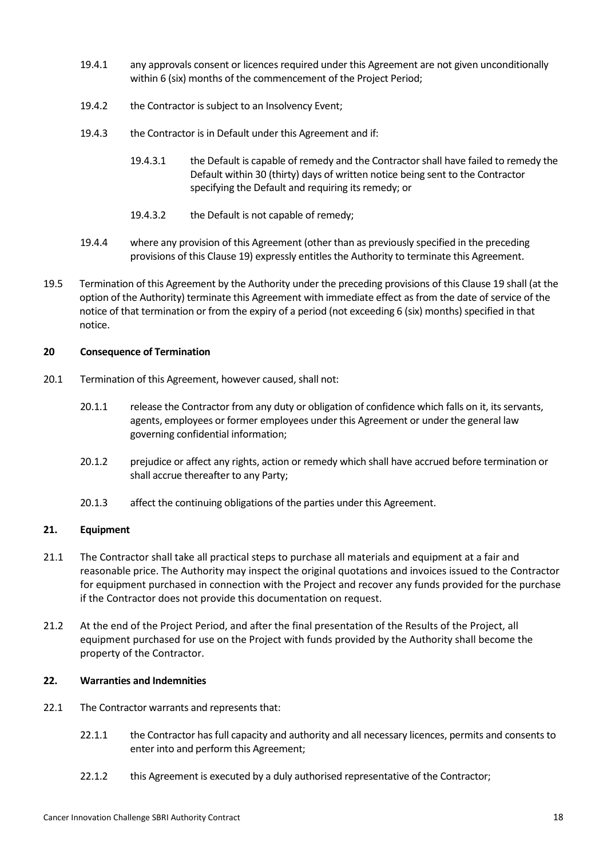- 19.4.1 any approvals consent or licences required under this Agreement are not given unconditionally within 6 (six) months of the commencement of the Project Period;
- 19.4.2 the Contractor is subject to an Insolvency Event;
- 19.4.3 the Contractor is in Default under this Agreement and if:
	- 19.4.3.1 the Default is capable of remedy and the Contractor shall have failed to remedy the Default within 30 (thirty) days of written notice being sent to the Contractor specifying the Default and requiring its remedy; or
	- 19.4.3.2 the Default is not capable of remedy;
- 19.4.4 where any provision of this Agreement (other than as previously specified in the preceding provisions of this Clause 19) expressly entitles the Authority to terminate this Agreement.
- 19.5 Termination of this Agreement by the Authority under the preceding provisions of this Clause 19 shall (at the option of the Authority) terminate this Agreement with immediate effect as from the date of service of the notice of that termination or from the expiry of a period (not exceeding 6 (six) months) specified in that notice.

## **20 Consequence of Termination**

- 20.1 Termination of this Agreement, however caused, shall not:
	- 20.1.1 release the Contractor from any duty or obligation of confidence which falls on it, its servants, agents, employees or former employees under this Agreement or under the general law governing confidential information;
	- 20.1.2 prejudice or affect any rights, action or remedy which shall have accrued before termination or shall accrue thereafter to any Party;
	- 20.1.3 affect the continuing obligations of the parties under this Agreement.

## **21. Equipment**

- 21.1 The Contractor shall take all practical steps to purchase all materials and equipment at a fair and reasonable price. The Authority may inspect the original quotations and invoices issued to the Contractor for equipment purchased in connection with the Project and recover any funds provided for the purchase if the Contractor does not provide this documentation on request.
- 21.2 At the end of the Project Period, and after the final presentation of the Results of the Project, all equipment purchased for use on the Project with funds provided by the Authority shall become the property of the Contractor.

#### **22. Warranties and Indemnities**

- 22.1 The Contractor warrants and represents that:
	- 22.1.1 the Contractor has full capacity and authority and all necessary licences, permits and consents to enter into and perform this Agreement;
	- 22.1.2 this Agreement is executed by a duly authorised representative of the Contractor;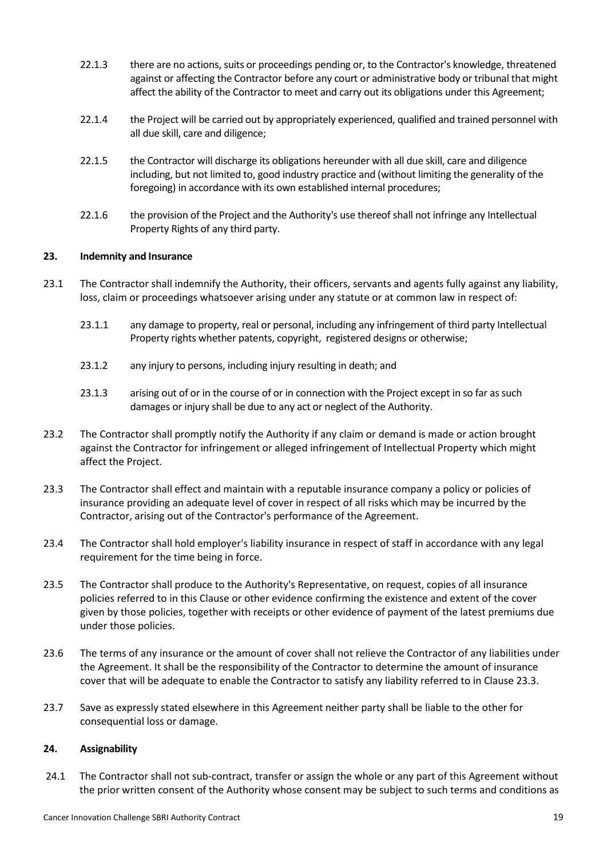- 22.1.3 there are no actions, suits or proceedings pending or, to the Contractor's knowledge, threatened against or affecting the Contractor before any court or administrative body or tribunal that might affect the ability of the Contractor to meet and carry out its obligations under this Agreement;
- 22.1.4 the Project will be carried out by appropriately experienced, qualified and trained personnel with all due skill, care and diligence;
- 22.1.5 the Contractor will discharge its obligations hereunder with all due skill, care and diligence including, but not limited to, good industry practice and (without limiting the generality of the foregoing) in accordance with its own established internal procedures;
- 22.1.6 the provision of the Project and the Authority's use thereof shall not infringe any Intellectual Property Rights of any third party.

#### **23. Indemnity and Insurance**

- 23.1 The Contractor shall indemnify the Authority, their officers, servants and agents fully against any liability, loss, claim or proceedings whatsoever arising under any statute or at common law in respect of:
	- 23.1.1 any damage to property, real or personal, including any infringement of third party Intellectual Property rights whether patents, copyright, registered designs or otherwise;
	- 23.1.2 any injury to persons, including injury resulting in death; and
	- 23.1.3 arising out of or in the course of or in connection with the Project except in so far as such damages or injury shall be due to any act or neglect of the Authority.
- 23.2 The Contractor shall promptly notify the Authority if any claim or demand is made or action brought against the Contractor for infringement or alleged infringement of Intellectual Property which might affect the Project.
- 23.3 The Contractor shall effect and maintain with a reputable insurance company a policy or policies of insurance providing an adequate level of cover in respect of all risks which may be incurred by the Contractor, arising out of the Contractor's performance of the Agreement.
- 23.4 The Contractor shall hold employer's liability insurance in respect of staff in accordance with any legal requirement for the time being in force.
- 23.5 The Contractor shall produce to the Authority's Representative, on request, copies of all insurance policies referred to in this Clause or other evidence confirming the existence and extent of the cover given by those policies, together with receipts or other evidence of payment of the latest premiums due under those policies.
- 23.6 The terms of any insurance or the amount of cover shall not relieve the Contractor of any liabilities under the Agreement. It shall be the responsibility of the Contractor to determine the amount of insurance cover that will be adequate to enable the Contractor to satisfy any liability referred to in Clause 23.3.
- 23.7 Save as expressly stated elsewhere in this Agreement neither party shall be liable to the other for consequential loss or damage.

#### **24. Assignability**

24.1 The Contractor shall not sub-contract, transfer or assign the whole or any part of this Agreement without the prior written consent of the Authority whose consent may be subject to such terms and conditions as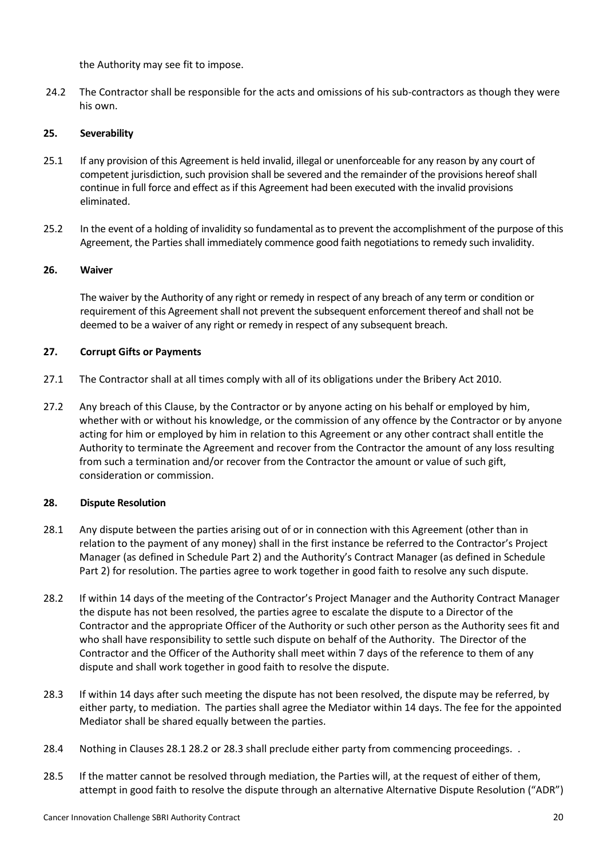the Authority may see fit to impose.

24.2 The Contractor shall be responsible for the acts and omissions of his sub-contractors as though they were his own.

## **25. Severability**

- 25.1 If any provision of this Agreement is held invalid, illegal or unenforceable for any reason by any court of competent jurisdiction, such provision shall be severed and the remainder of the provisions hereof shall continue in full force and effect as if this Agreement had been executed with the invalid provisions eliminated.
- 25.2 In the event of a holding of invalidity so fundamental as to prevent the accomplishment of the purpose of this Agreement, the Parties shall immediately commence good faith negotiations to remedy such invalidity.

## **26. Waiver**

The waiver by the Authority of any right or remedy in respect of any breach of any term or condition or requirement of this Agreement shall not prevent the subsequent enforcement thereof and shall not be deemed to be a waiver of any right or remedy in respect of any subsequent breach.

## **27. Corrupt Gifts or Payments**

- 27.1 The Contractor shall at all times comply with all of its obligations under the Bribery Act 2010.
- 27.2 Any breach of this Clause, by the Contractor or by anyone acting on his behalf or employed by him, whether with or without his knowledge, or the commission of any offence by the Contractor or by anyone acting for him or employed by him in relation to this Agreement or any other contract shall entitle the Authority to terminate the Agreement and recover from the Contractor the amount of any loss resulting from such a termination and/or recover from the Contractor the amount or value of such gift, consideration or commission.

## **28. Dispute Resolution**

- 28.1 Any dispute between the parties arising out of or in connection with this Agreement (other than in relation to the payment of any money) shall in the first instance be referred to the Contractor's Project Manager (as defined in Schedule Part 2) and the Authority's Contract Manager (as defined in Schedule Part 2) for resolution. The parties agree to work together in good faith to resolve any such dispute.
- 28.2 If within 14 days of the meeting of the Contractor's Project Manager and the Authority Contract Manager the dispute has not been resolved, the parties agree to escalate the dispute to a Director of the Contractor and the appropriate Officer of the Authority or such other person as the Authority sees fit and who shall have responsibility to settle such dispute on behalf of the Authority. The Director of the Contractor and the Officer of the Authority shall meet within 7 days of the reference to them of any dispute and shall work together in good faith to resolve the dispute.
- 28.3 If within 14 days after such meeting the dispute has not been resolved, the dispute may be referred, by either party, to mediation. The parties shall agree the Mediator within 14 days. The fee for the appointed Mediator shall be shared equally between the parties.
- 28.4 Nothing in Clauses 28.1 28.2 or 28.3 shall preclude either party from commencing proceedings. .
- 28.5 If the matter cannot be resolved through mediation, the Parties will, at the request of either of them, attempt in good faith to resolve the dispute through an alternative Alternative Dispute Resolution ("ADR")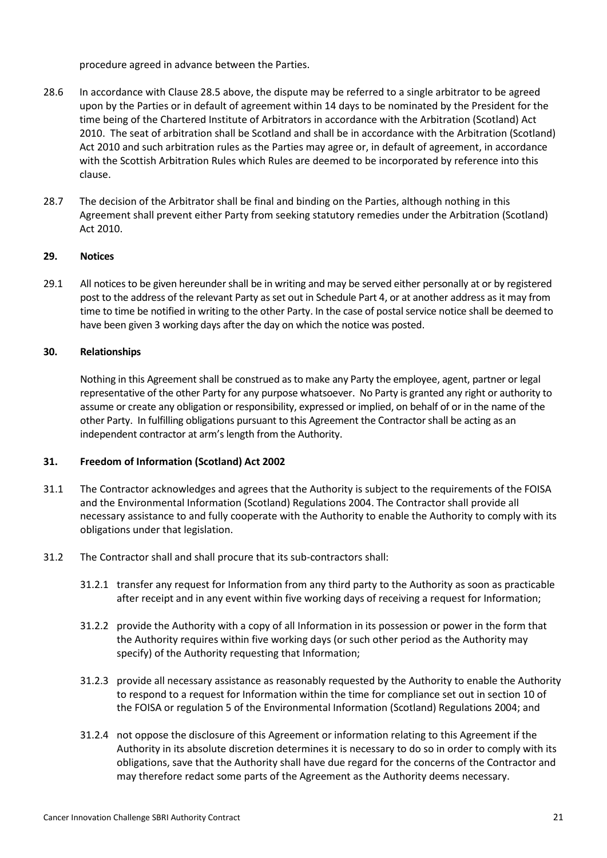procedure agreed in advance between the Parties.

- 28.6 In accordance with Clause 28.5 above, the dispute may be referred to a single arbitrator to be agreed upon by the Parties or in default of agreement within 14 days to be nominated by the President for the time being of the Chartered Institute of Arbitrators in accordance with the Arbitration (Scotland) Act 2010. The seat of arbitration shall be Scotland and shall be in accordance with the Arbitration (Scotland) Act 2010 and such arbitration rules as the Parties may agree or, in default of agreement, in accordance with the Scottish Arbitration Rules which Rules are deemed to be incorporated by reference into this clause.
- 28.7 The decision of the Arbitrator shall be final and binding on the Parties, although nothing in this Agreement shall prevent either Party from seeking statutory remedies under the Arbitration (Scotland) Act 2010.

#### **29. Notices**

29.1 All notices to be given hereunder shall be in writing and may be served either personally at or by registered post to the address of the relevant Party as set out in Schedule Part 4, or at another address as it may from time to time be notified in writing to the other Party. In the case of postal service notice shall be deemed to have been given 3 working days after the day on which the notice was posted.

## **30. Relationships**

Nothing in this Agreement shall be construed as to make any Party the employee, agent, partner or legal representative of the other Party for any purpose whatsoever. No Party is granted any right or authority to assume or create any obligation or responsibility, expressed or implied, on behalf of or in the name of the other Party. In fulfilling obligations pursuant to this Agreement the Contractor shall be acting as an independent contractor at arm's length from the Authority.

#### **31. Freedom of Information (Scotland) Act 2002**

- 31.1 The Contractor acknowledges and agrees that the Authority is subject to the requirements of the FOISA and the Environmental Information (Scotland) Regulations 2004. The Contractor shall provide all necessary assistance to and fully cooperate with the Authority to enable the Authority to comply with its obligations under that legislation.
- 31.2 The Contractor shall and shall procure that its sub-contractors shall:
	- 31.2.1 transfer any request for Information from any third party to the Authority as soon as practicable after receipt and in any event within five working days of receiving a request for Information;
	- 31.2.2 provide the Authority with a copy of all Information in its possession or power in the form that the Authority requires within five working days (or such other period as the Authority may specify) of the Authority requesting that Information;
	- 31.2.3 provide all necessary assistance as reasonably requested by the Authority to enable the Authority to respond to a request for Information within the time for compliance set out in section 10 of the FOISA or regulation 5 of the Environmental Information (Scotland) Regulations 2004; and
	- 31.2.4 not oppose the disclosure of this Agreement or information relating to this Agreement if the Authority in its absolute discretion determines it is necessary to do so in order to comply with its obligations, save that the Authority shall have due regard for the concerns of the Contractor and may therefore redact some parts of the Agreement as the Authority deems necessary.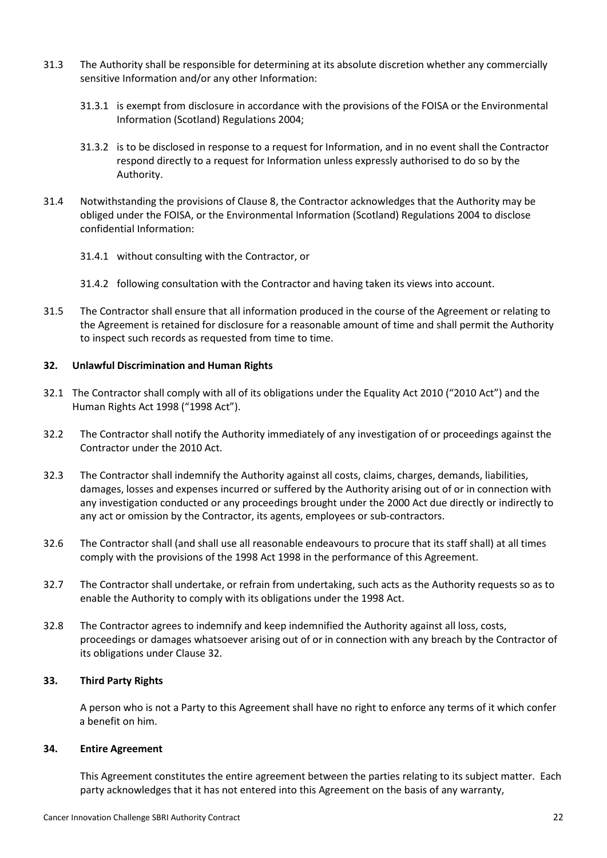- 31.3 The Authority shall be responsible for determining at its absolute discretion whether any commercially sensitive Information and/or any other Information:
	- 31.3.1 is exempt from disclosure in accordance with the provisions of the FOISA or the Environmental Information (Scotland) Regulations 2004;
	- 31.3.2 is to be disclosed in response to a request for Information, and in no event shall the Contractor respond directly to a request for Information unless expressly authorised to do so by the Authority.
- 31.4 Notwithstanding the provisions of Clause 8, the Contractor acknowledges that the Authority may be obliged under the FOISA, or the Environmental Information (Scotland) Regulations 2004 to disclose confidential Information:
	- 31.4.1 without consulting with the Contractor, or
	- 31.4.2 following consultation with the Contractor and having taken its views into account.
- 31.5 The Contractor shall ensure that all information produced in the course of the Agreement or relating to the Agreement is retained for disclosure for a reasonable amount of time and shall permit the Authority to inspect such records as requested from time to time.

#### **32. Unlawful Discrimination and Human Rights**

- 32.1 The Contractor shall comply with all of its obligations under the Equality Act 2010 ("2010 Act") and the Human Rights Act 1998 ("1998 Act").
- 32.2 The Contractor shall notify the Authority immediately of any investigation of or proceedings against the Contractor under the 2010 Act.
- 32.3 The Contractor shall indemnify the Authority against all costs, claims, charges, demands, liabilities, damages, losses and expenses incurred or suffered by the Authority arising out of or in connection with any investigation conducted or any proceedings brought under the 2000 Act due directly or indirectly to any act or omission by the Contractor, its agents, employees or sub-contractors.
- 32.6 The Contractor shall (and shall use all reasonable endeavours to procure that its staff shall) at all times comply with the provisions of the 1998 Act 1998 in the performance of this Agreement.
- 32.7 The Contractor shall undertake, or refrain from undertaking, such acts as the Authority requests so as to enable the Authority to comply with its obligations under the 1998 Act.
- 32.8 The Contractor agrees to indemnify and keep indemnified the Authority against all loss, costs, proceedings or damages whatsoever arising out of or in connection with any breach by the Contractor of its obligations under Clause 32.

#### **33. Third Party Rights**

A person who is not a Party to this Agreement shall have no right to enforce any terms of it which confer a benefit on him.

#### **34. Entire Agreement**

This Agreement constitutes the entire agreement between the parties relating to its subject matter. Each party acknowledges that it has not entered into this Agreement on the basis of any warranty,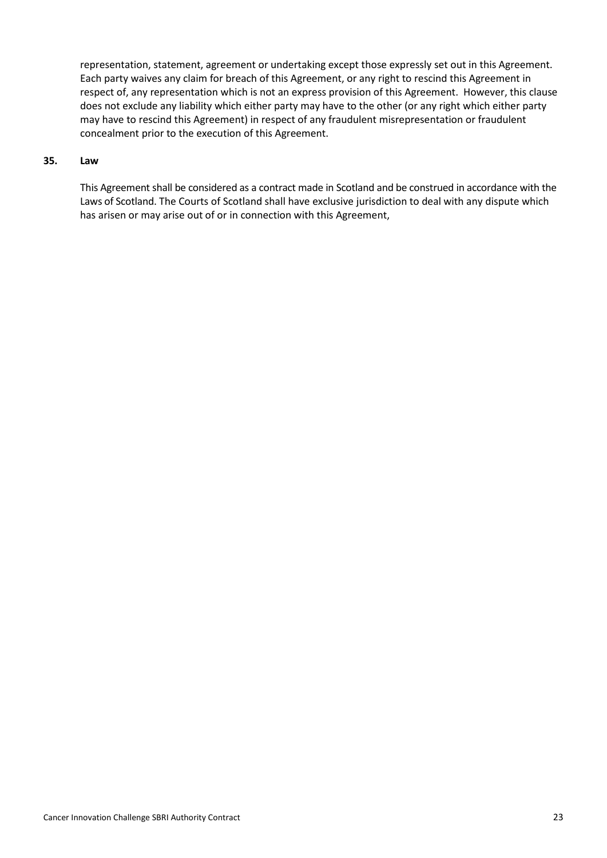representation, statement, agreement or undertaking except those expressly set out in this Agreement. Each party waives any claim for breach of this Agreement, or any right to rescind this Agreement in respect of, any representation which is not an express provision of this Agreement. However, this clause does not exclude any liability which either party may have to the other (or any right which either party may have to rescind this Agreement) in respect of any fraudulent misrepresentation or fraudulent concealment prior to the execution of this Agreement.

#### **35. Law**

This Agreement shall be considered as a contract made in Scotland and be construed in accordance with the Laws of Scotland. The Courts of Scotland shall have exclusive jurisdiction to deal with any dispute which has arisen or may arise out of or in connection with this Agreement,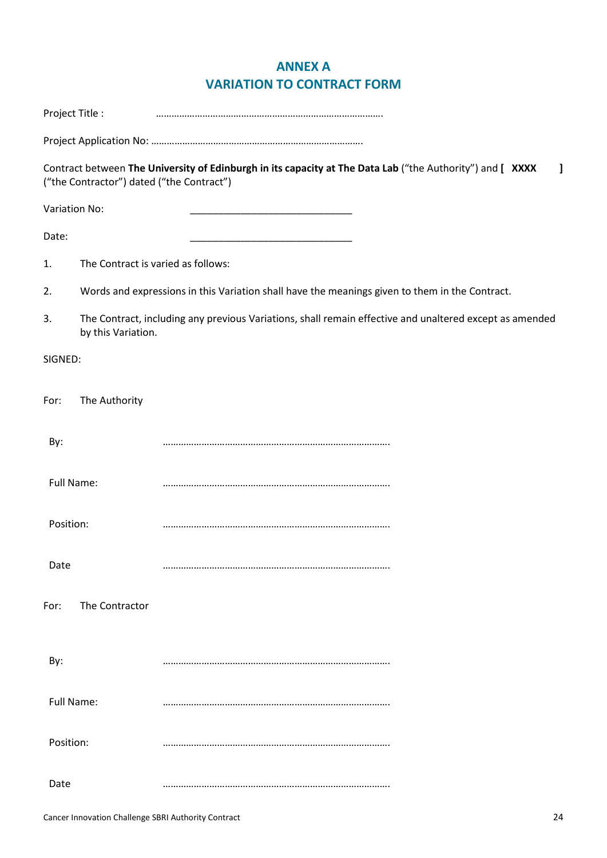# **ANNEX A VARIATION TO CONTRACT FORM**

|           | Project Title :                           |                                                                                                           |
|-----------|-------------------------------------------|-----------------------------------------------------------------------------------------------------------|
|           |                                           |                                                                                                           |
|           | ("the Contractor") dated ("the Contract") | Contract between The University of Edinburgh in its capacity at The Data Lab ("the Authority") and [ XXXX |
|           | Variation No:                             |                                                                                                           |
| Date:     |                                           |                                                                                                           |
| 1.        | The Contract is varied as follows:        |                                                                                                           |
| 2.        |                                           | Words and expressions in this Variation shall have the meanings given to them in the Contract.            |
| 3.        | by this Variation.                        | The Contract, including any previous Variations, shall remain effective and unaltered except as amended   |
| SIGNED:   |                                           |                                                                                                           |
| For:      | The Authority                             |                                                                                                           |
| By:       |                                           |                                                                                                           |
|           | Full Name:                                |                                                                                                           |
| Position: |                                           |                                                                                                           |
| Date      |                                           |                                                                                                           |
| For:      | The Contractor                            |                                                                                                           |
| By:       |                                           |                                                                                                           |
|           | Full Name:                                |                                                                                                           |
| Position: |                                           |                                                                                                           |
| Date      |                                           |                                                                                                           |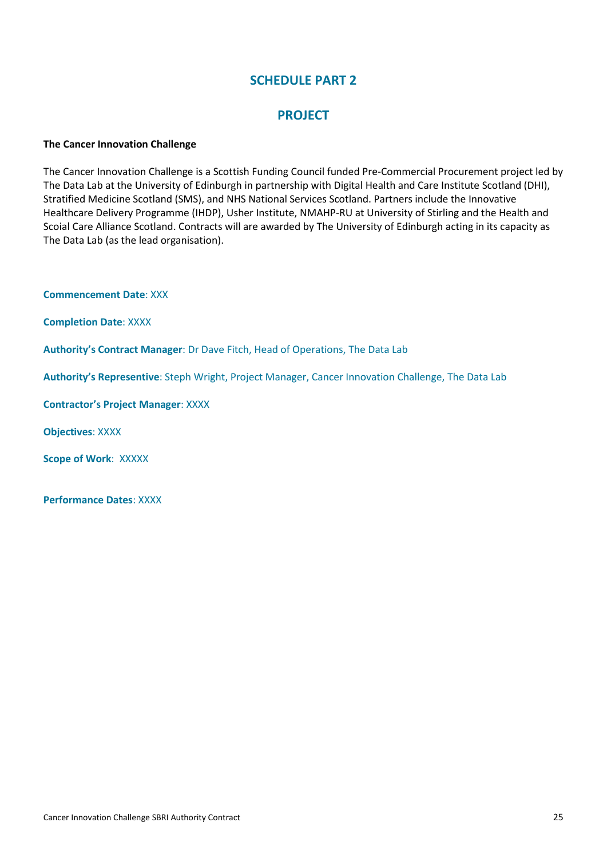## **PROJECT**

#### **The Cancer Innovation Challenge**

The Cancer Innovation Challenge is a Scottish Funding Council funded Pre-Commercial Procurement project led by The Data Lab at the University of Edinburgh in partnership with Digital Health and Care Institute Scotland (DHI), Stratified Medicine Scotland (SMS), and NHS National Services Scotland. Partners include the Innovative Healthcare Delivery Programme (IHDP), Usher Institute, NMAHP-RU at University of Stirling and the Health and Scoial Care Alliance Scotland. Contracts will are awarded by The University of Edinburgh acting in its capacity as The Data Lab (as the lead organisation).

**Commencement Date**: XXX

**Completion Date**: XXXX

**Authority's Contract Manager**: Dr Dave Fitch, Head of Operations, The Data Lab

**Authority's Representive**: Steph Wright, Project Manager, Cancer Innovation Challenge, The Data Lab

**Contractor's Project Manager**: XXXX

**Objectives**: XXXX

**Scope of Work**: XXXXX

**Performance Dates**: XXXX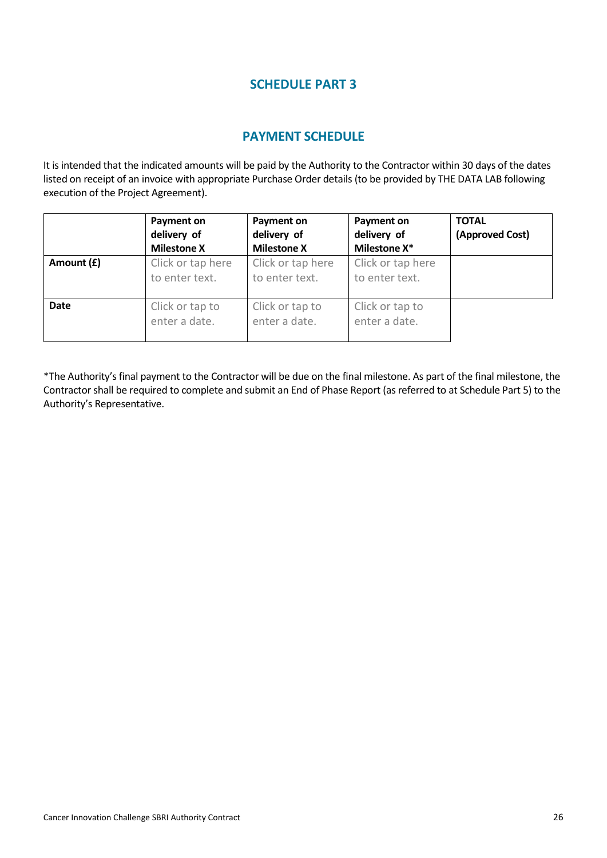## **PAYMENT SCHEDULE**

It is intended that the indicated amounts will be paid by the Authority to the Contractor within 30 days of the dates listed on receipt of an invoice with appropriate Purchase Order details (to be provided by THE DATA LAB following execution of the Project Agreement).

|             | Payment on<br>delivery of<br><b>Milestone X</b> | <b>Payment on</b><br>delivery of<br><b>Milestone X</b> | Payment on<br>delivery of<br>Milestone X* | <b>TOTAL</b><br>(Approved Cost) |
|-------------|-------------------------------------------------|--------------------------------------------------------|-------------------------------------------|---------------------------------|
| Amount (£)  | Click or tap here<br>to enter text.             | Click or tap here<br>to enter text.                    | Click or tap here<br>to enter text.       |                                 |
| <b>Date</b> | Click or tap to<br>enter a date.                | Click or tap to<br>enter a date.                       | Click or tap to<br>enter a date.          |                                 |

\*The Authority's final payment to the Contractor will be due on the final milestone. As part of the final milestone, the Contractor shall be required to complete and submit an End of Phase Report (as referred to at Schedule Part 5) to the Authority's Representative.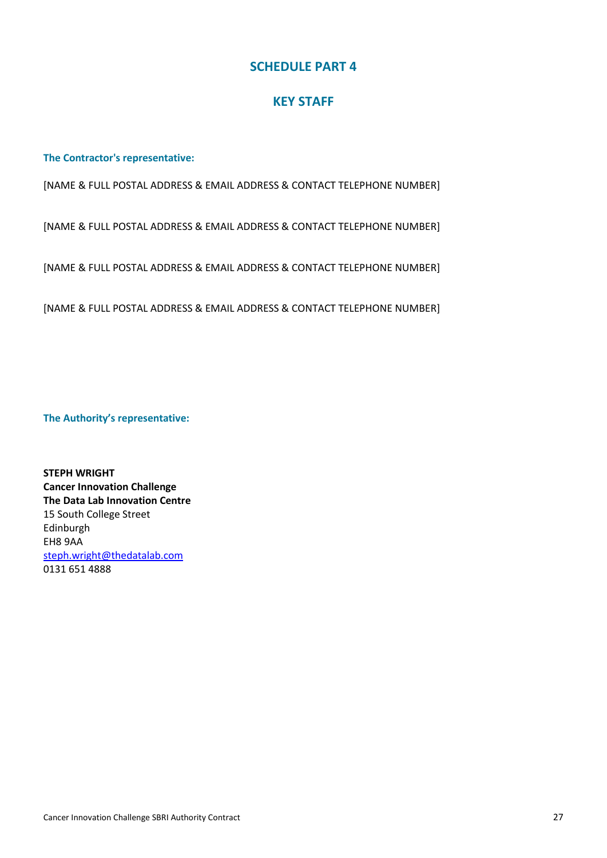## **KEY STAFF**

**The Contractor's representative:**

[NAME & FULL POSTAL ADDRESS & EMAIL ADDRESS & CONTACT TELEPHONE NUMBER]

[NAME & FULL POSTAL ADDRESS & EMAIL ADDRESS & CONTACT TELEPHONE NUMBER]

[NAME & FULL POSTAL ADDRESS & EMAIL ADDRESS & CONTACT TELEPHONE NUMBER]

[NAME & FULL POSTAL ADDRESS & EMAIL ADDRESS & CONTACT TELEPHONE NUMBER]

**The Authority's representative:**

**STEPH WRIGHT Cancer Innovation Challenge The Data Lab Innovation Centre** 15 South College Street Edinburgh EH8 9AA [steph.wright@thedatalab.com](mailto:steph.wright@thedatalab.com) 0131 651 4888